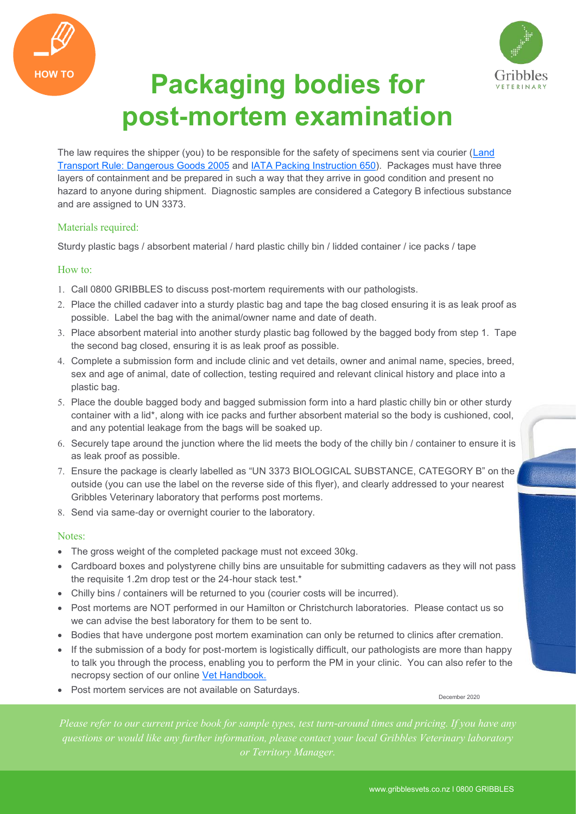



## **HOW TO Packaging bodies for post-mortem examination**

The law requires the shipper (you) to be responsible for the safety of specimens sent via courier (Land [Transport Rule: Dangerous Goods 2005](http://www.nzta.govt.nz/resources/rules/docs/dangerous-goods-2005.pdf) and [IATA Packing Instruction 650\)](https://www.iata.org/whatwedo/cargo/dgr/Documents/packing-instruction-650-DGR56-en.pdf). Packages must have three layers of containment and be prepared in such a way that they arrive in good condition and present no hazard to anyone during shipment. Diagnostic samples are considered a Category B infectious substance and are assigned to UN 3373.

## Materials required:

Sturdy plastic bags / absorbent material / hard plastic chilly bin / lidded container / ice packs / tape

## How to:

- Call 0800 GRIBBLES to discuss post-mortem requirements with our pathologists.
- 2. Place the chilled cadaver into a sturdy plastic bag and tape the bag closed ensuring it is as leak proof as possible. Label the bag with the animal/owner name and date of death.
- Place absorbent material into another sturdy plastic bag followed by the bagged body from step 1. Tape the second bag closed, ensuring it is as leak proof as possible.
- Complete a submission form and include clinic and vet details, owner and animal name, species, breed, sex and age of animal, date of collection, testing required and relevant clinical history and place into a plastic bag.
- 5. Place the double bagged body and bagged submission form into a hard plastic chilly bin or other sturdy container with a lid\*, along with ice packs and further absorbent material so the body is cushioned, cool, and any potential leakage from the bags will be soaked up.
- 6. Securely tape around the junction where the lid meets the body of the chilly bin / container to ensure it is as leak proof as possible.
- Ensure the package is clearly labelled as "UN 3373 BIOLOGICAL SUBSTANCE, CATEGORY B" on the outside (you can use the label on the reverse side of this flyer), and clearly addressed to your nearest Gribbles Veterinary laboratory that performs post mortems.
- 8. Send via same-day or overnight courier to the laboratory.

## Notes:

- The gross weight of the completed package must not exceed 30kg.
- Cardboard boxes and polystyrene chilly bins are unsuitable for submitting cadavers as they will not pass the requisite 1.2m drop test or the 24-hour stack test.\*
- Chilly bins / containers will be returned to you (courier costs will be incurred).
- Post mortems are NOT performed in our Hamilton or Christchurch laboratories. Please contact us so we can advise the best laboratory for them to be sent to.
- Bodies that have undergone post mortem examination can only be returned to clinics after cremation.
- If the submission of a body for post-mortem is logistically difficult, our pathologists are more than happy to talk you through the process, enabling you to perform the PM in your clinic. You can also refer to the necropsy section of our online [Vet Handbook.](https://www.gribblesvets.co.nz/veterinary-handbook/)
- Post mortem services are not available on Saturdays.

December 2020